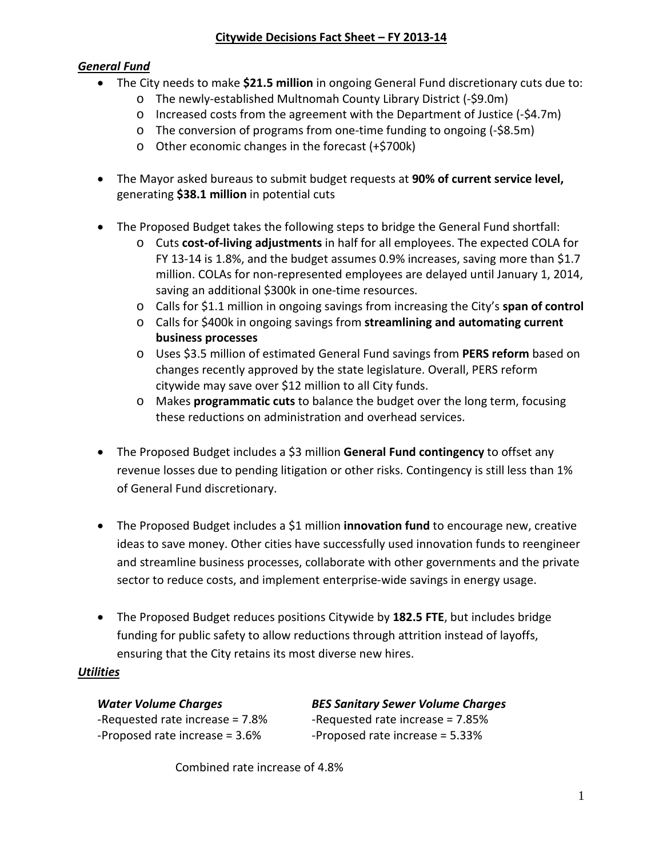# *General Fund*

- The City needs to make **\$21.5 million** in ongoing General Fund discretionary cuts due to:
	- o The newly-established Multnomah County Library District (-\$9.0m)
	- o Increased costs from the agreement with the Department of Justice (-\$4.7m)
	- o The conversion of programs from one-time funding to ongoing (-\$8.5m)
	- o Other economic changes in the forecast (+\$700k)
- The Mayor asked bureaus to submit budget requests at **90% of current service level,**  generating **\$38.1 million** in potential cuts
- The Proposed Budget takes the following steps to bridge the General Fund shortfall:
	- o Cuts **cost-of-living adjustments** in half for all employees. The expected COLA for FY 13-14 is 1.8%, and the budget assumes 0.9% increases, saving more than \$1.7 million. COLAs for non-represented employees are delayed until January 1, 2014, saving an additional \$300k in one-time resources.
	- o Calls for \$1.1 million in ongoing savings from increasing the City's **span of control**
	- o Calls for \$400k in ongoing savings from **streamlining and automating current business processes**
	- o Uses \$3.5 million of estimated General Fund savings from **PERS reform** based on changes recently approved by the state legislature. Overall, PERS reform citywide may save over \$12 million to all City funds.
	- o Makes **programmatic cuts** to balance the budget over the long term, focusing these reductions on administration and overhead services.
- The Proposed Budget includes a \$3 million **General Fund contingency** to offset any revenue losses due to pending litigation or other risks. Contingency is still less than 1% of General Fund discretionary.
- The Proposed Budget includes a \$1 million **innovation fund** to encourage new, creative ideas to save money. Other cities have successfully used innovation funds to reengineer and streamline business processes, collaborate with other governments and the private sector to reduce costs, and implement enterprise-wide savings in energy usage.
- The Proposed Budget reduces positions Citywide by **182.5 FTE**, but includes bridge funding for public safety to allow reductions through attrition instead of layoffs, ensuring that the City retains its most diverse new hires.

# *Utilities*

*Water Volume Charges BES Sanitary Sewer Volume Charges* -Requested rate increase = 7.8% -Requested rate increase = 7.85% -Proposed rate increase = 3.6% -Proposed rate increase = 5.33%

Combined rate increase of 4.8%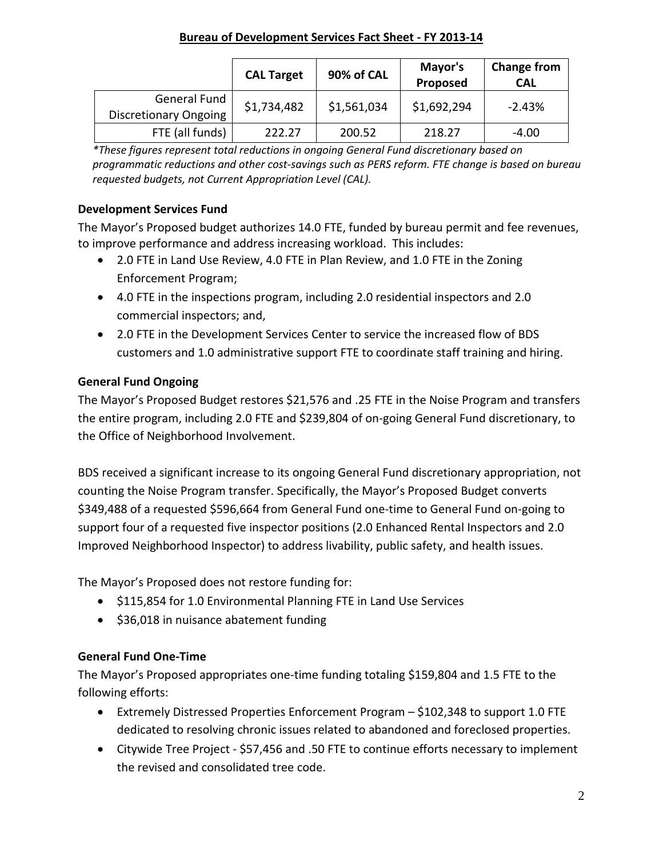#### **Bureau of Development Services Fact Sheet - FY 2013-14**

|                                              | <b>CAL Target</b> | 90% of CAL  | Mayor's<br>Proposed | <b>Change from</b><br><b>CAL</b> |
|----------------------------------------------|-------------------|-------------|---------------------|----------------------------------|
| General Fund<br><b>Discretionary Ongoing</b> | \$1,734,482       | \$1,561,034 | \$1,692,294         | $-2.43%$                         |
| FTE (all funds)                              | 222.27            | 200.52      | 218.27              | $-4.00$                          |

*\*These figures represent total reductions in ongoing General Fund discretionary based on programmatic reductions and other cost-savings such as PERS reform. FTE change is based on bureau requested budgets, not Current Appropriation Level (CAL).*

# **Development Services Fund**

The Mayor's Proposed budget authorizes 14.0 FTE, funded by bureau permit and fee revenues, to improve performance and address increasing workload. This includes:

- 2.0 FTE in Land Use Review, 4.0 FTE in Plan Review, and 1.0 FTE in the Zoning Enforcement Program;
- 4.0 FTE in the inspections program, including 2.0 residential inspectors and 2.0 commercial inspectors; and,
- 2.0 FTE in the Development Services Center to service the increased flow of BDS customers and 1.0 administrative support FTE to coordinate staff training and hiring.

# **General Fund Ongoing**

The Mayor's Proposed Budget restores \$21,576 and .25 FTE in the Noise Program and transfers the entire program, including 2.0 FTE and \$239,804 of on-going General Fund discretionary, to the Office of Neighborhood Involvement.

BDS received a significant increase to its ongoing General Fund discretionary appropriation, not counting the Noise Program transfer. Specifically, the Mayor's Proposed Budget converts \$349,488 of a requested \$596,664 from General Fund one-time to General Fund on-going to support four of a requested five inspector positions (2.0 Enhanced Rental Inspectors and 2.0 Improved Neighborhood Inspector) to address livability, public safety, and health issues.

The Mayor's Proposed does not restore funding for:

- \$115,854 for 1.0 Environmental Planning FTE in Land Use Services
- \$36,018 in nuisance abatement funding

# **General Fund One-Time**

The Mayor's Proposed appropriates one-time funding totaling \$159,804 and 1.5 FTE to the following efforts:

- Extremely Distressed Properties Enforcement Program \$102,348 to support 1.0 FTE dedicated to resolving chronic issues related to abandoned and foreclosed properties.
- Citywide Tree Project \$57,456 and .50 FTE to continue efforts necessary to implement the revised and consolidated tree code.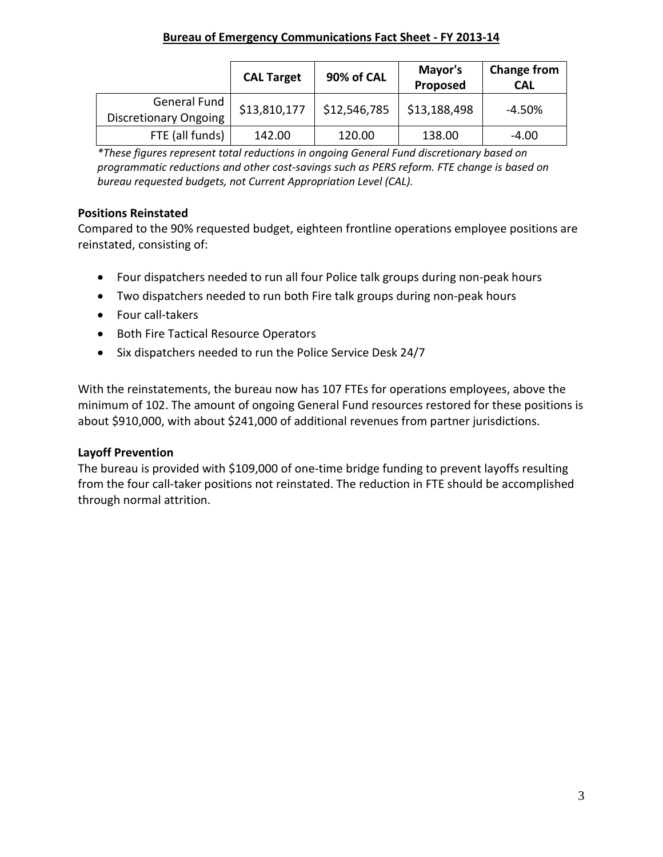|                                              | <b>CAL Target</b> | 90% of CAL   | Mayor's<br>Proposed | <b>Change from</b><br><b>CAL</b> |
|----------------------------------------------|-------------------|--------------|---------------------|----------------------------------|
| General Fund<br><b>Discretionary Ongoing</b> | \$13,810,177      | \$12,546,785 | \$13,188,498        | -4.50%                           |
| FTE (all funds)                              | 142.00            | 120.00       | 138.00              | $-4.00$                          |

*\*These figures represent total reductions in ongoing General Fund discretionary based on programmatic reductions and other cost-savings such as PERS reform. FTE change is based on bureau requested budgets, not Current Appropriation Level (CAL).*

# **Positions Reinstated**

Compared to the 90% requested budget, eighteen frontline operations employee positions are reinstated, consisting of:

- Four dispatchers needed to run all four Police talk groups during non-peak hours
- Two dispatchers needed to run both Fire talk groups during non-peak hours
- Four call-takers
- Both Fire Tactical Resource Operators
- Six dispatchers needed to run the Police Service Desk 24/7

With the reinstatements, the bureau now has 107 FTEs for operations employees, above the minimum of 102. The amount of ongoing General Fund resources restored for these positions is about \$910,000, with about \$241,000 of additional revenues from partner jurisdictions.

## **Layoff Prevention**

The bureau is provided with \$109,000 of one-time bridge funding to prevent layoffs resulting from the four call-taker positions not reinstated. The reduction in FTE should be accomplished through normal attrition.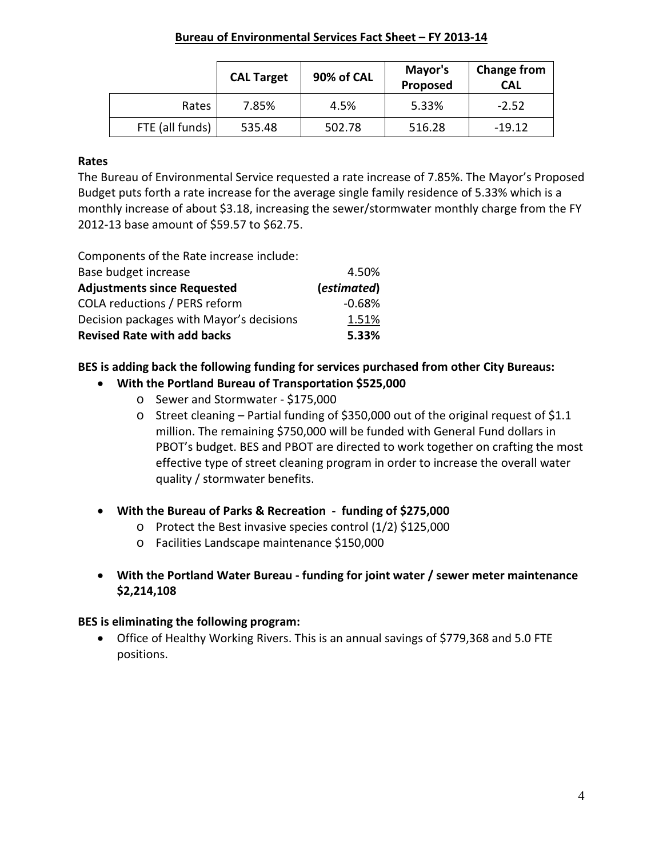|                 | <b>CAL Target</b> | 90% of CAL | Mayor's<br>Proposed | <b>Change from</b><br><b>CAL</b> |
|-----------------|-------------------|------------|---------------------|----------------------------------|
| Rates           | 7.85%             | 4.5%       | 5.33%               | $-2.52$                          |
| FTE (all funds) | 535.48            | 502.78     | 516.28              | $-19.12$                         |

#### **Rates**

The Bureau of Environmental Service requested a rate increase of 7.85%. The Mayor's Proposed Budget puts forth a rate increase for the average single family residence of 5.33% which is a monthly increase of about \$3.18, increasing the sewer/stormwater monthly charge from the FY 2012-13 base amount of \$59.57 to \$62.75.

Components of the Rate increase include:

| Base budget increase                     | 4.50%       |
|------------------------------------------|-------------|
| <b>Adjustments since Requested</b>       | (estimated) |
| <b>COLA reductions / PERS reform</b>     | $-0.68%$    |
| Decision packages with Mayor's decisions | 1.51%       |
| <b>Revised Rate with add backs</b>       | 5.33%       |

# **BES is adding back the following funding for services purchased from other City Bureaus:**

## • **With the Portland Bureau of Transportation \$525,000**

- o Sewer and Stormwater \$175,000
- o Street cleaning Partial funding of \$350,000 out of the original request of \$1.1 million. The remaining \$750,000 will be funded with General Fund dollars in PBOT's budget. BES and PBOT are directed to work together on crafting the most effective type of street cleaning program in order to increase the overall water quality / stormwater benefits.
- **With the Bureau of Parks & Recreation funding of \$275,000** 
	- $\circ$  Protect the Best invasive species control (1/2) \$125,000
	- o Facilities Landscape maintenance \$150,000
- **With the Portland Water Bureau - funding for joint water / sewer meter maintenance \$2,214,108**

## **BES is eliminating the following program:**

• Office of Healthy Working Rivers. This is an annual savings of \$779,368 and 5.0 FTE positions.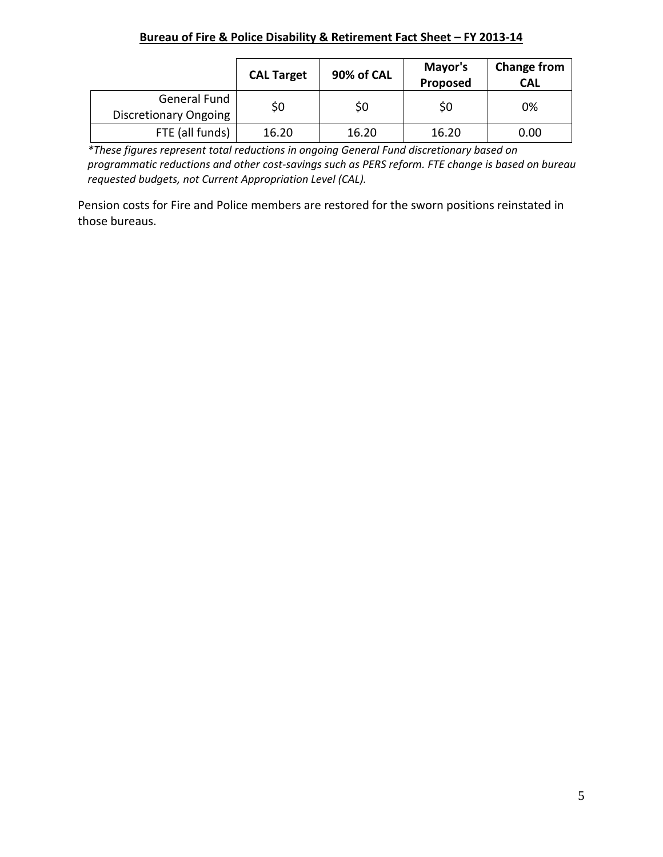|                                       | <b>CAL Target</b> | 90% of CAL | Mayor's<br>Proposed | <b>Change from</b><br><b>CAL</b> |
|---------------------------------------|-------------------|------------|---------------------|----------------------------------|
| General Fund<br>Discretionary Ongoing | \$0               | \$0        | Ş0                  | 0%                               |
| FTE (all funds)                       | 16.20             | 16.20      | 16.20               | 0.00                             |

*\*These figures represent total reductions in ongoing General Fund discretionary based on programmatic reductions and other cost-savings such as PERS reform. FTE change is based on bureau requested budgets, not Current Appropriation Level (CAL).*

Pension costs for Fire and Police members are restored for the sworn positions reinstated in those bureaus.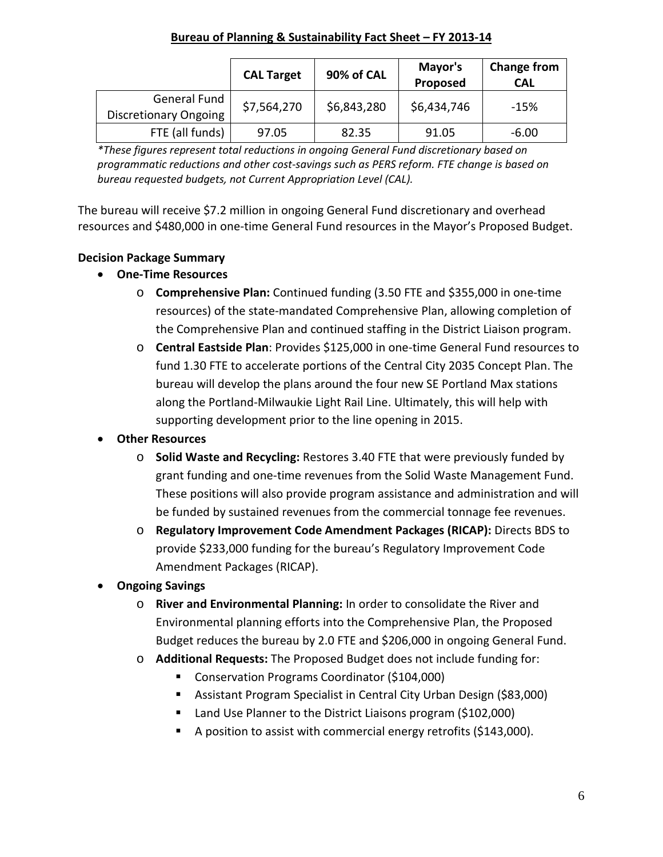#### **Bureau of Planning & Sustainability Fact Sheet – FY 2013-14**

|                                              | <b>CAL Target</b> | 90% of CAL  | Mayor's<br>Proposed | <b>Change from</b><br><b>CAL</b> |
|----------------------------------------------|-------------------|-------------|---------------------|----------------------------------|
| General Fund<br><b>Discretionary Ongoing</b> | \$7,564,270       | \$6,843,280 | \$6,434,746         | $-15%$                           |
| FTE (all funds)                              | 97.05             | 82.35       | 91.05               | $-6.00$                          |

*\*These figures represent total reductions in ongoing General Fund discretionary based on programmatic reductions and other cost-savings such as PERS reform. FTE change is based on bureau requested budgets, not Current Appropriation Level (CAL).*

The bureau will receive \$7.2 million in ongoing General Fund discretionary and overhead resources and \$480,000 in one-time General Fund resources in the Mayor's Proposed Budget.

# **Decision Package Summary**

- **One-Time Resources**
	- o **Comprehensive Plan:** Continued funding (3.50 FTE and \$355,000 in one-time resources) of the state-mandated Comprehensive Plan, allowing completion of the Comprehensive Plan and continued staffing in the District Liaison program.
	- o **Central Eastside Plan**: Provides \$125,000 in one-time General Fund resources to fund 1.30 FTE to accelerate portions of the Central City 2035 Concept Plan. The bureau will develop the plans around the four new SE Portland Max stations along the Portland-Milwaukie Light Rail Line. Ultimately, this will help with supporting development prior to the line opening in 2015.

# • **Other Resources**

- o **Solid Waste and Recycling:** Restores 3.40 FTE that were previously funded by grant funding and one-time revenues from the Solid Waste Management Fund. These positions will also provide program assistance and administration and will be funded by sustained revenues from the commercial tonnage fee revenues.
- o **Regulatory Improvement Code Amendment Packages (RICAP):** Directs BDS to provide \$233,000 funding for the bureau's Regulatory Improvement Code Amendment Packages (RICAP).
- **Ongoing Savings**
	- o **River and Environmental Planning:** In order to consolidate the River and Environmental planning efforts into the Comprehensive Plan, the Proposed Budget reduces the bureau by 2.0 FTE and \$206,000 in ongoing General Fund.
	- o **Additional Requests:** The Proposed Budget does not include funding for:
		- Conservation Programs Coordinator (\$104,000)
		- Assistant Program Specialist in Central City Urban Design (\$83,000)
		- Land Use Planner to the District Liaisons program (\$102,000)
		- A position to assist with commercial energy retrofits (\$143,000).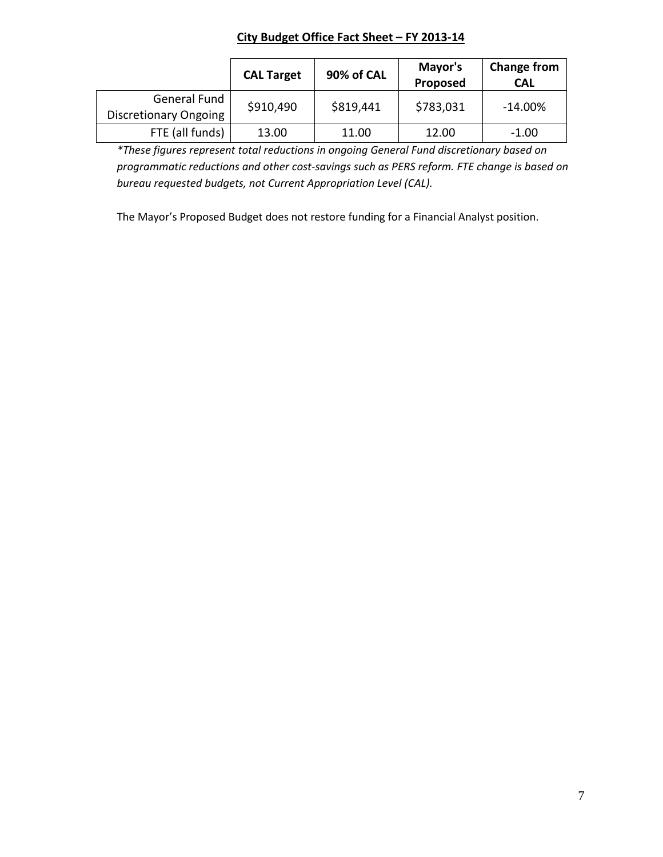# **City Budget Office Fact Sheet – FY 2013-14**

|                              | <b>CAL Target</b> | 90% of CAL | Mayor's<br>Proposed | <b>Change from</b><br><b>CAL</b> |
|------------------------------|-------------------|------------|---------------------|----------------------------------|
| General Fund                 | \$910,490         | \$819,441  | \$783,031           | $-14.00\%$                       |
| <b>Discretionary Ongoing</b> |                   |            |                     |                                  |
| FTE (all funds)              | 13.00             | 11.00      | 12.00               | $-1.00$                          |

*\*These figures represent total reductions in ongoing General Fund discretionary based on programmatic reductions and other cost-savings such as PERS reform. FTE change is based on bureau requested budgets, not Current Appropriation Level (CAL).*

The Mayor's Proposed Budget does not restore funding for a Financial Analyst position.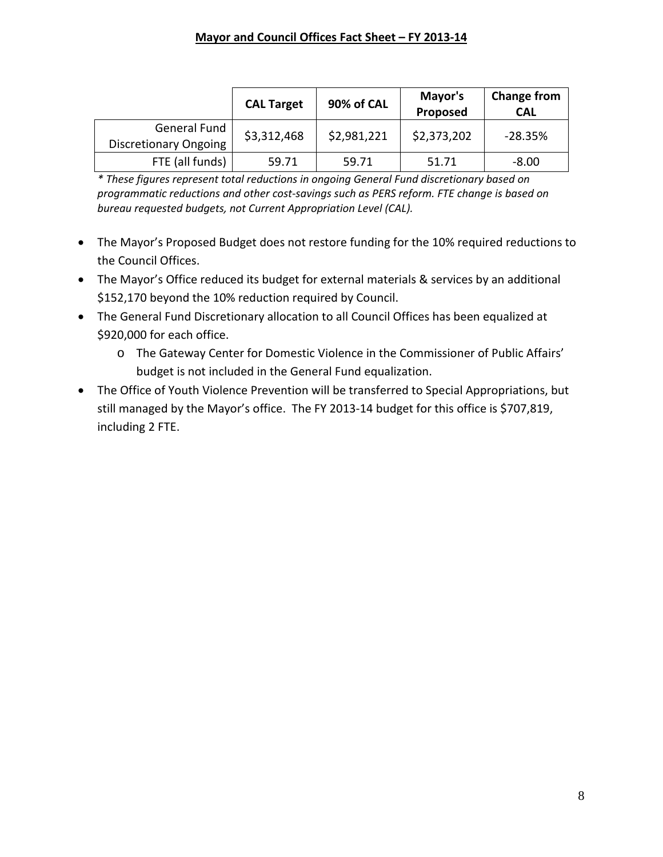|                                                     | <b>CAL Target</b> | 90% of CAL  | Mayor's<br>Proposed | <b>Change from</b><br><b>CAL</b> |
|-----------------------------------------------------|-------------------|-------------|---------------------|----------------------------------|
| <b>General Fund</b><br><b>Discretionary Ongoing</b> | \$3,312,468       | \$2,981,221 | \$2,373,202         | $-28.35%$                        |
| FTE (all funds)                                     | 59.71             | 59.71       | 51.71               | $-8.00$                          |

*\* These figures represent total reductions in ongoing General Fund discretionary based on programmatic reductions and other cost-savings such as PERS reform. FTE change is based on bureau requested budgets, not Current Appropriation Level (CAL).*

- The Mayor's Proposed Budget does not restore funding for the 10% required reductions to the Council Offices.
- The Mayor's Office reduced its budget for external materials & services by an additional \$152,170 beyond the 10% reduction required by Council.
- The General Fund Discretionary allocation to all Council Offices has been equalized at \$920,000 for each office.
	- o The Gateway Center for Domestic Violence in the Commissioner of Public Affairs' budget is not included in the General Fund equalization.
- The Office of Youth Violence Prevention will be transferred to Special Appropriations, but still managed by the Mayor's office. The FY 2013-14 budget for this office is \$707,819, including 2 FTE.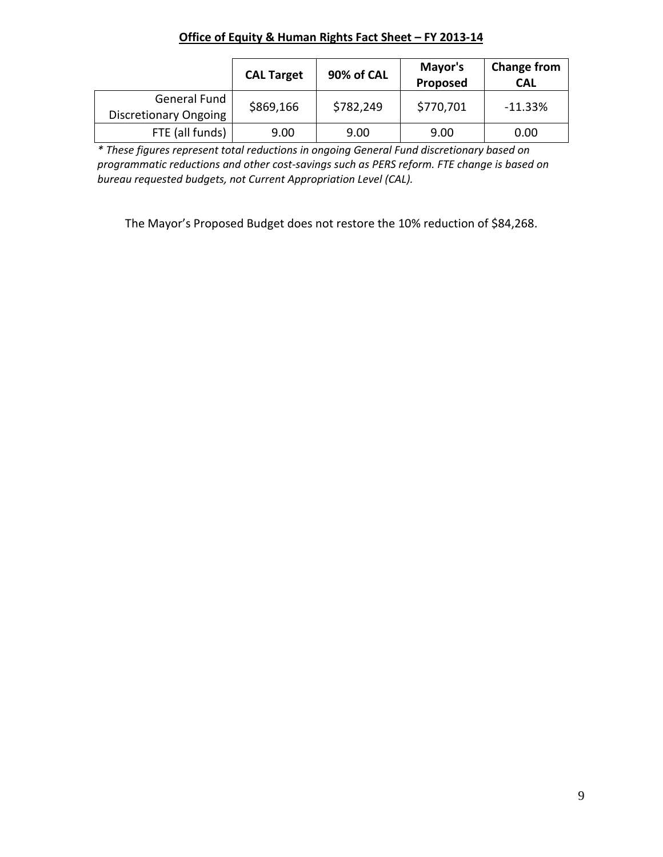|                                              | <b>CAL Target</b> | 90% of CAL | Mayor's<br>Proposed | <b>Change from</b><br><b>CAL</b> |
|----------------------------------------------|-------------------|------------|---------------------|----------------------------------|
| General Fund<br><b>Discretionary Ongoing</b> | \$869,166         | \$782,249  | \$770,701           | $-11.33%$                        |
| FTE (all funds)                              | 9.00              | 9.00       | 9.00                | 0.00                             |

**Office of Equity & Human Rights Fact Sheet – FY 2013-14**

*\* These figures represent total reductions in ongoing General Fund discretionary based on programmatic reductions and other cost-savings such as PERS reform. FTE change is based on bureau requested budgets, not Current Appropriation Level (CAL).*

The Mayor's Proposed Budget does not restore the 10% reduction of \$84,268.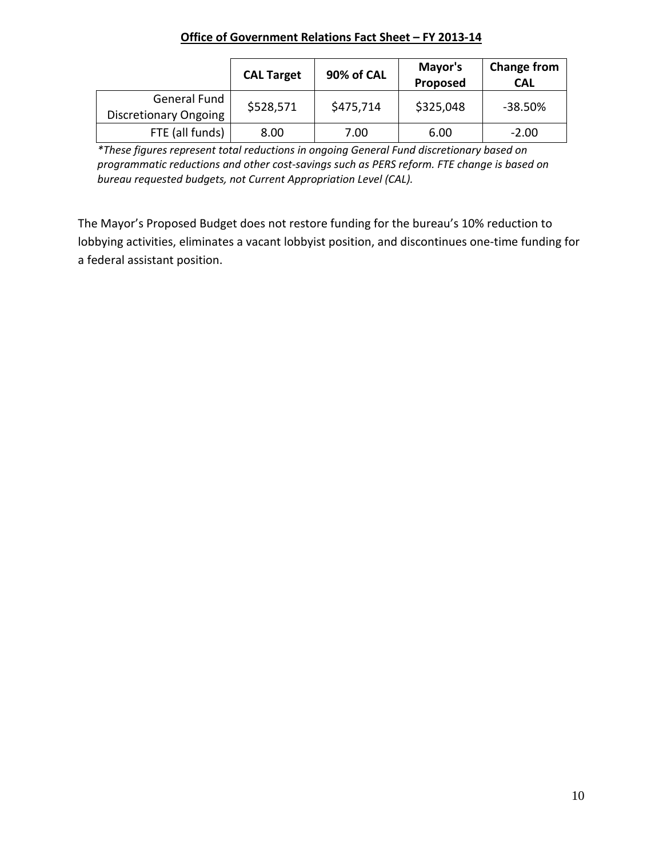| Office of Government Relations Fact Sheet - FY 2013-14 |
|--------------------------------------------------------|
|                                                        |

|                                       | <b>CAL Target</b> | 90% of CAL | Mayor's<br>Proposed | Change from<br><b>CAL</b> |
|---------------------------------------|-------------------|------------|---------------------|---------------------------|
| General Fund<br>Discretionary Ongoing | \$528,571         | \$475,714  | \$325,048           | $-38.50\%$                |
| FTE (all funds)                       | 8.00              | 7.00       | 6.00                | $-2.00$                   |

*\*These figures represent total reductions in ongoing General Fund discretionary based on programmatic reductions and other cost-savings such as PERS reform. FTE change is based on bureau requested budgets, not Current Appropriation Level (CAL).*

The Mayor's Proposed Budget does not restore funding for the bureau's 10% reduction to lobbying activities, eliminates a vacant lobbyist position, and discontinues one-time funding for a federal assistant position.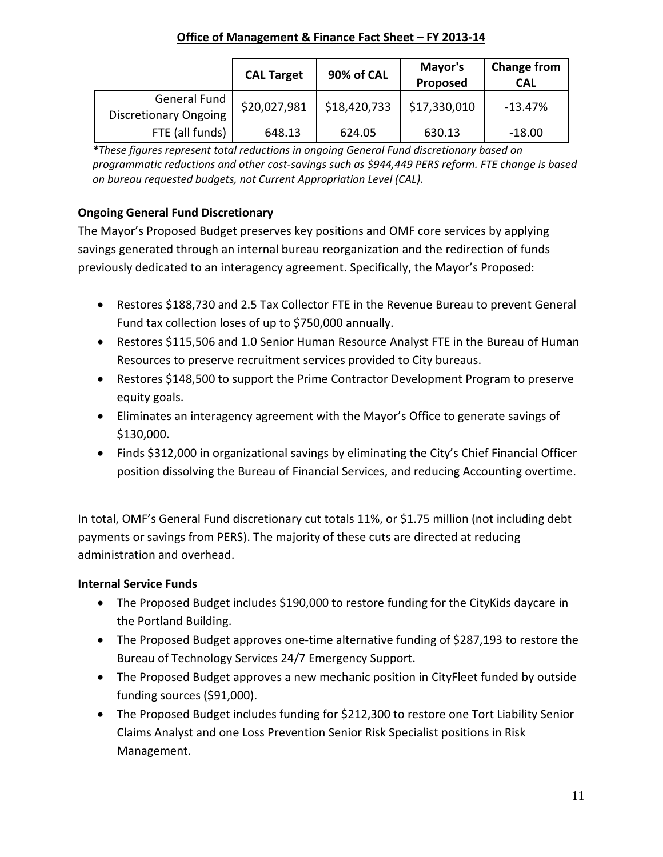## **Office of Management & Finance Fact Sheet – FY 2013-14**

|                                              | <b>CAL Target</b> | 90% of CAL   | Mayor's<br>Proposed | <b>Change from</b><br><b>CAL</b> |
|----------------------------------------------|-------------------|--------------|---------------------|----------------------------------|
| General Fund<br><b>Discretionary Ongoing</b> | \$20,027,981      | \$18,420,733 | \$17,330,010        | $-13.47%$                        |
| FTE (all funds)                              | 648.13            | 624.05       | 630.13              | $-18.00$                         |

*\*These figures represent total reductions in ongoing General Fund discretionary based on programmatic reductions and other cost-savings such as \$944,449 PERS reform. FTE change is based on bureau requested budgets, not Current Appropriation Level (CAL).*

# **Ongoing General Fund Discretionary**

The Mayor's Proposed Budget preserves key positions and OMF core services by applying savings generated through an internal bureau reorganization and the redirection of funds previously dedicated to an interagency agreement. Specifically, the Mayor's Proposed:

- Restores \$188,730 and 2.5 Tax Collector FTE in the Revenue Bureau to prevent General Fund tax collection loses of up to \$750,000 annually.
- Restores \$115,506 and 1.0 Senior Human Resource Analyst FTE in the Bureau of Human Resources to preserve recruitment services provided to City bureaus.
- Restores \$148,500 to support the Prime Contractor Development Program to preserve equity goals.
- Eliminates an interagency agreement with the Mayor's Office to generate savings of \$130,000.
- Finds \$312,000 in organizational savings by eliminating the City's Chief Financial Officer position dissolving the Bureau of Financial Services, and reducing Accounting overtime.

In total, OMF's General Fund discretionary cut totals 11%, or \$1.75 million (not including debt payments or savings from PERS). The majority of these cuts are directed at reducing administration and overhead.

# **Internal Service Funds**

- The Proposed Budget includes \$190,000 to restore funding for the CityKids daycare in the Portland Building.
- The Proposed Budget approves one-time alternative funding of \$287,193 to restore the Bureau of Technology Services 24/7 Emergency Support.
- The Proposed Budget approves a new mechanic position in CityFleet funded by outside funding sources (\$91,000).
- The Proposed Budget includes funding for \$212,300 to restore one Tort Liability Senior Claims Analyst and one Loss Prevention Senior Risk Specialist positions in Risk Management.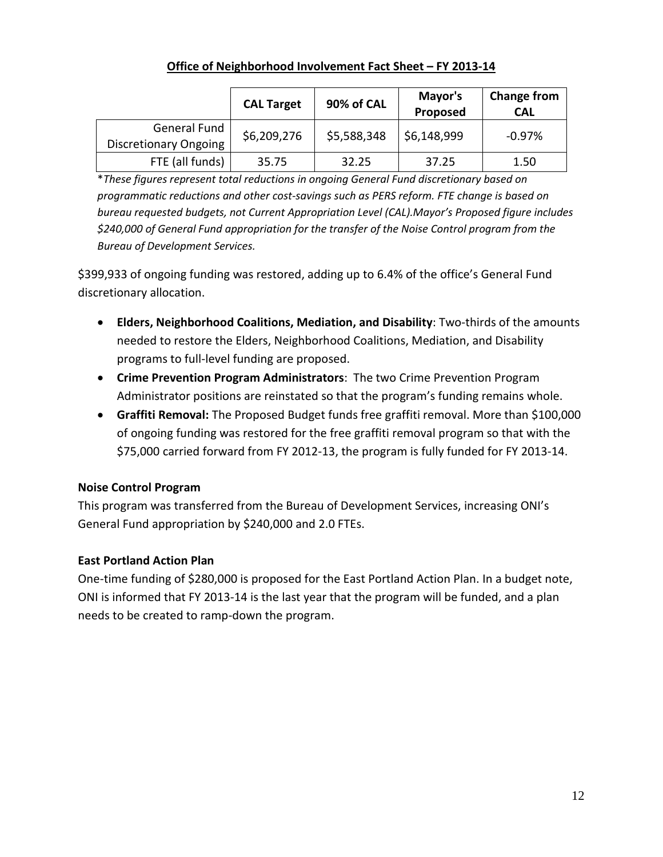# **Office of Neighborhood Involvement Fact Sheet – FY 2013-14**

|                                              | <b>CAL Target</b> | 90% of CAL  | Mayor's<br>Proposed | <b>Change from</b><br><b>CAL</b> |
|----------------------------------------------|-------------------|-------------|---------------------|----------------------------------|
| General Fund<br><b>Discretionary Ongoing</b> | \$6,209,276       | \$5,588,348 | \$6,148,999         | $-0.97\%$                        |
| FTE (all funds)                              | 35.75             | 32.25       | 37.25               | 1.50                             |

\**These figures represent total reductions in ongoing General Fund discretionary based on programmatic reductions and other cost-savings such as PERS reform. FTE change is based on bureau requested budgets, not Current Appropriation Level (CAL).Mayor's Proposed figure includes \$240,000 of General Fund appropriation for the transfer of the Noise Control program from the Bureau of Development Services.*

\$399,933 of ongoing funding was restored, adding up to 6.4% of the office's General Fund discretionary allocation.

- **Elders, Neighborhood Coalitions, Mediation, and Disability**: Two-thirds of the amounts needed to restore the Elders, Neighborhood Coalitions, Mediation, and Disability programs to full-level funding are proposed.
- **Crime Prevention Program Administrators**: The two Crime Prevention Program Administrator positions are reinstated so that the program's funding remains whole.
- **Graffiti Removal:** The Proposed Budget funds free graffiti removal. More than \$100,000 of ongoing funding was restored for the free graffiti removal program so that with the \$75,000 carried forward from FY 2012-13, the program is fully funded for FY 2013-14.

# **Noise Control Program**

This program was transferred from the Bureau of Development Services, increasing ONI's General Fund appropriation by \$240,000 and 2.0 FTEs.

# **East Portland Action Plan**

One-time funding of \$280,000 is proposed for the East Portland Action Plan. In a budget note, ONI is informed that FY 2013-14 is the last year that the program will be funded, and a plan needs to be created to ramp-down the program.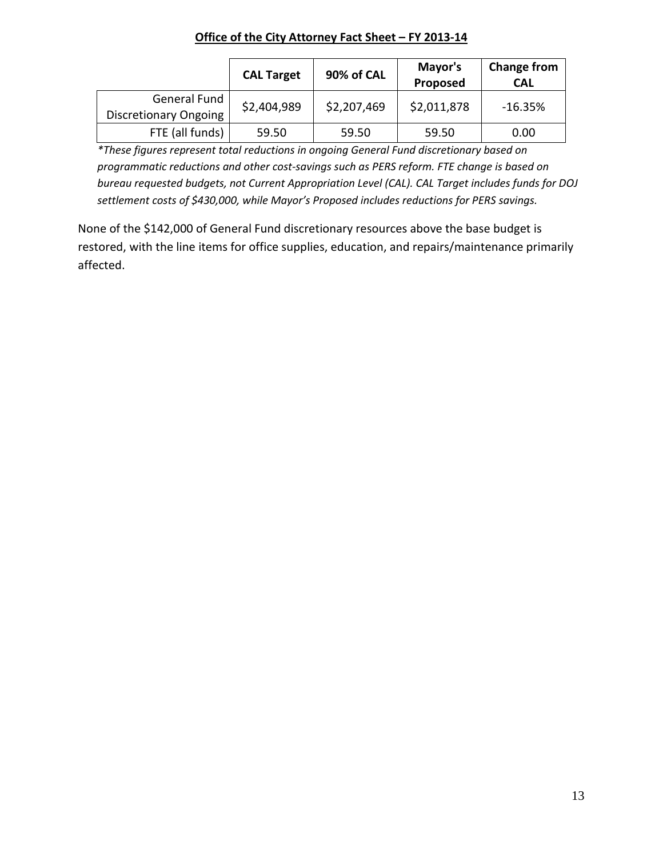# **Office of the City Attorney Fact Sheet – FY 2013-14**

|                                                     | <b>CAL Target</b> | 90% of CAL  | Mayor's<br>Proposed | <b>Change from</b><br><b>CAL</b> |
|-----------------------------------------------------|-------------------|-------------|---------------------|----------------------------------|
| <b>General Fund</b><br><b>Discretionary Ongoing</b> | \$2,404,989       | \$2,207,469 | \$2,011,878         | -16.35%                          |
| FTE (all funds)                                     | 59.50             | 59.50       | 59.50               | 0.00                             |

*\*These figures represent total reductions in ongoing General Fund discretionary based on programmatic reductions and other cost-savings such as PERS reform. FTE change is based on bureau requested budgets, not Current Appropriation Level (CAL). CAL Target includes funds for DOJ settlement costs of \$430,000, while Mayor's Proposed includes reductions for PERS savings.*

None of the \$142,000 of General Fund discretionary resources above the base budget is restored, with the line items for office supplies, education, and repairs/maintenance primarily affected.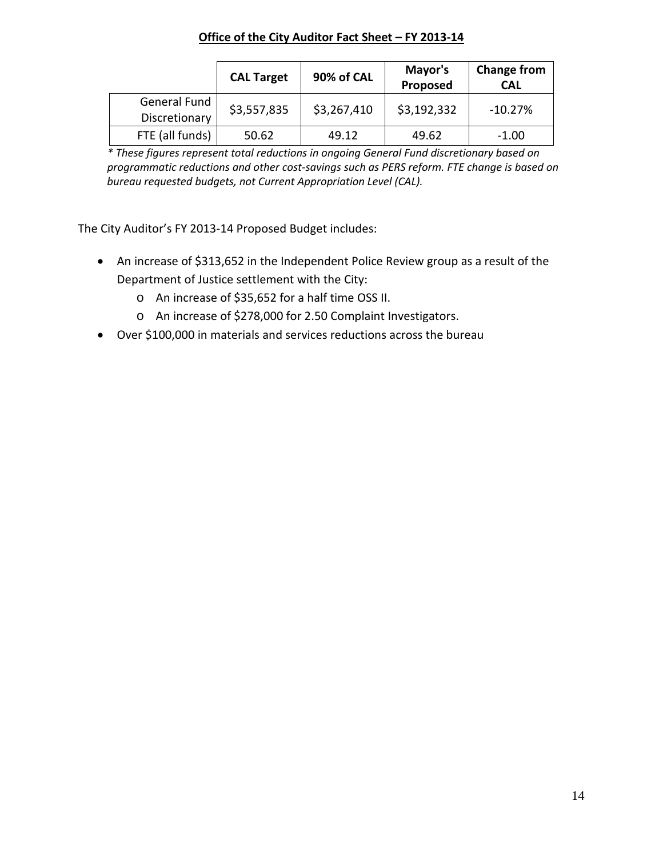#### **Office of the City Auditor Fact Sheet – FY 2013-14**

|                               | <b>CAL Target</b> | 90% of CAL  | Mayor's<br>Proposed | <b>Change from</b><br><b>CAL</b> |
|-------------------------------|-------------------|-------------|---------------------|----------------------------------|
| General Fund<br>Discretionary | \$3,557,835       | \$3,267,410 | \$3,192,332         | $-10.27%$                        |
| FTE (all funds)               | 50.62             | 49.12       | 49.62               | $-1.00$                          |

*\* These figures represent total reductions in ongoing General Fund discretionary based on programmatic reductions and other cost-savings such as PERS reform. FTE change is based on bureau requested budgets, not Current Appropriation Level (CAL).*

The City Auditor's FY 2013-14 Proposed Budget includes:

- An increase of \$313,652 in the Independent Police Review group as a result of the Department of Justice settlement with the City:
	- o An increase of \$35,652 for a half time OSS II.
	- o An increase of \$278,000 for 2.50 Complaint Investigators.
- Over \$100,000 in materials and services reductions across the bureau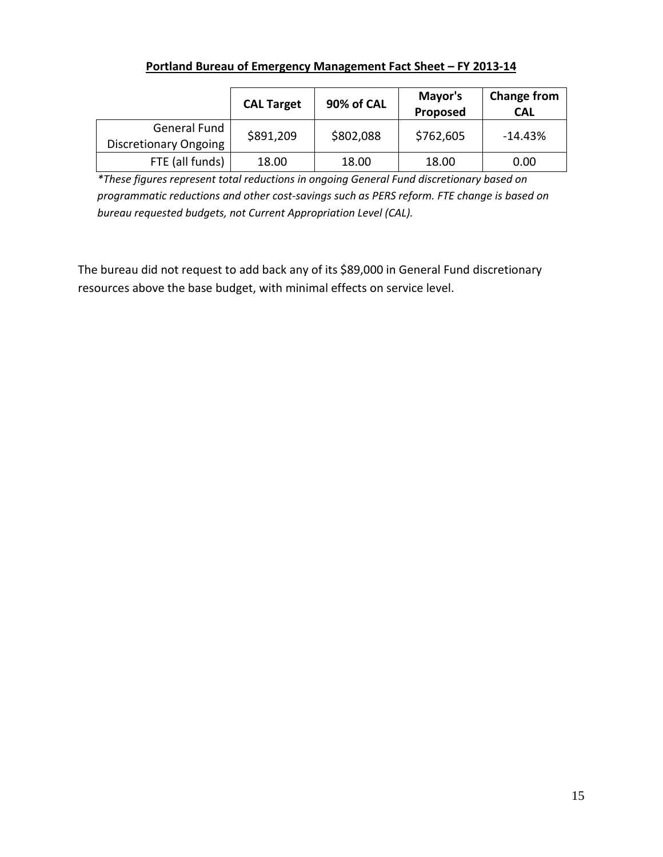|                                       | <b>CAL Target</b> | 90% of CAL | Mayor's<br>Proposed | <b>Change from</b><br><b>CAL</b> |
|---------------------------------------|-------------------|------------|---------------------|----------------------------------|
| General Fund<br>Discretionary Ongoing | \$891,209         | \$802,088  | \$762,605           | $-14.43%$                        |
| FTE (all funds)                       | 18.00             | 18.00      | 18.00               | 0.00                             |

*\*These figures represent total reductions in ongoing General Fund discretionary based on programmatic reductions and other cost-savings such as PERS reform. FTE change is based on bureau requested budgets, not Current Appropriation Level (CAL).*

The bureau did not request to add back any of its \$89,000 in General Fund discretionary resources above the base budget, with minimal effects on service level.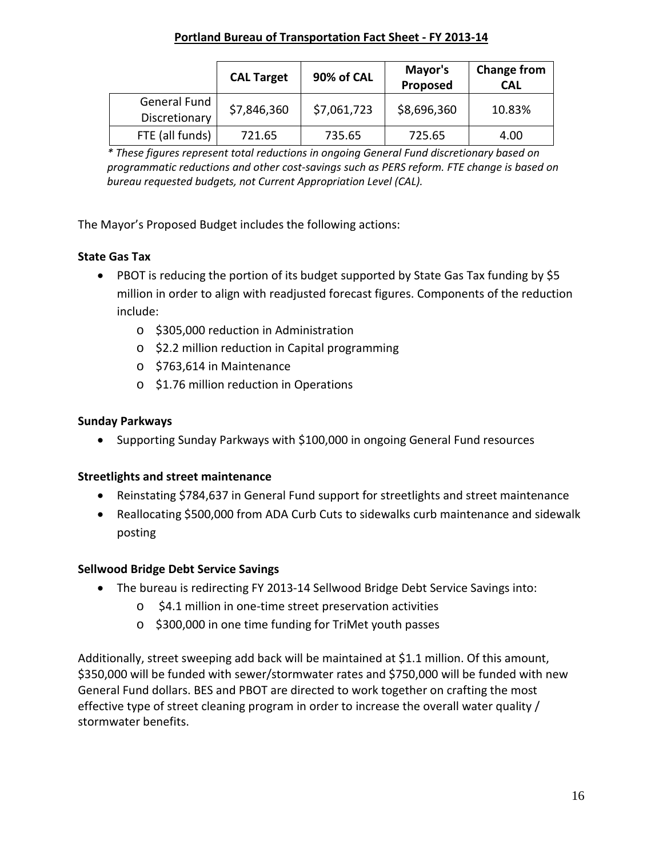#### **Portland Bureau of Transportation Fact Sheet - FY 2013-14**

|                               | <b>CAL Target</b> | 90% of CAL  | Mayor's<br>Proposed | <b>Change from</b><br><b>CAL</b> |
|-------------------------------|-------------------|-------------|---------------------|----------------------------------|
| General Fund<br>Discretionary | \$7,846,360       | \$7,061,723 | \$8,696,360         | 10.83%                           |
| FTE (all funds)               | 721.65            | 735.65      | 725.65              | 4.00                             |

*\* These figures represent total reductions in ongoing General Fund discretionary based on programmatic reductions and other cost-savings such as PERS reform. FTE change is based on bureau requested budgets, not Current Appropriation Level (CAL).*

The Mayor's Proposed Budget includes the following actions:

# **State Gas Tax**

- PBOT is reducing the portion of its budget supported by State Gas Tax funding by \$5 million in order to align with readjusted forecast figures. Components of the reduction include:
	- o \$305,000 reduction in Administration
	- o \$2.2 million reduction in Capital programming
	- o \$763,614 in Maintenance
	- o \$1.76 million reduction in Operations

## **Sunday Parkways**

• Supporting Sunday Parkways with \$100,000 in ongoing General Fund resources

## **Streetlights and street maintenance**

- Reinstating \$784,637 in General Fund support for streetlights and street maintenance
- Reallocating \$500,000 from ADA Curb Cuts to sidewalks curb maintenance and sidewalk posting

## **Sellwood Bridge Debt Service Savings**

- The bureau is redirecting FY 2013-14 Sellwood Bridge Debt Service Savings into:
	- o \$4.1 million in one-time street preservation activities
	- o \$300,000 in one time funding for TriMet youth passes

Additionally, street sweeping add back will be maintained at \$1.1 million. Of this amount, \$350,000 will be funded with sewer/stormwater rates and \$750,000 will be funded with new General Fund dollars. BES and PBOT are directed to work together on crafting the most effective type of street cleaning program in order to increase the overall water quality / stormwater benefits.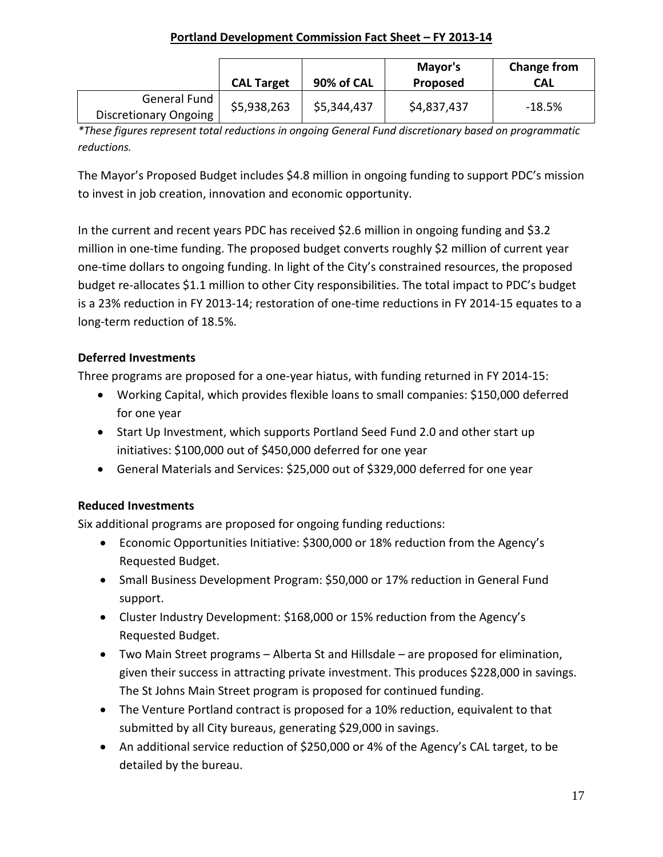## **Portland Development Commission Fact Sheet – FY 2013-14**

|                              | <b>CAL Target</b> | 90% of CAL  | Mayor's<br><b>Proposed</b> | Change from<br>CAL |
|------------------------------|-------------------|-------------|----------------------------|--------------------|
| General Fund                 | \$5,938,263       | \$5,344,437 | \$4,837,437                | $-18.5%$           |
| <b>Discretionary Ongoing</b> |                   |             |                            |                    |

*\*These figures represent total reductions in ongoing General Fund discretionary based on programmatic reductions.*

The Mayor's Proposed Budget includes \$4.8 million in ongoing funding to support PDC's mission to invest in job creation, innovation and economic opportunity.

In the current and recent years PDC has received \$2.6 million in ongoing funding and \$3.2 million in one-time funding. The proposed budget converts roughly \$2 million of current year one-time dollars to ongoing funding. In light of the City's constrained resources, the proposed budget re-allocates \$1.1 million to other City responsibilities. The total impact to PDC's budget is a 23% reduction in FY 2013-14; restoration of one-time reductions in FY 2014-15 equates to a long-term reduction of 18.5%.

# **Deferred Investments**

Three programs are proposed for a one-year hiatus, with funding returned in FY 2014-15:

- Working Capital, which provides flexible loans to small companies: \$150,000 deferred for one year
- Start Up Investment, which supports Portland Seed Fund 2.0 and other start up initiatives: \$100,000 out of \$450,000 deferred for one year
- General Materials and Services: \$25,000 out of \$329,000 deferred for one year

# **Reduced Investments**

Six additional programs are proposed for ongoing funding reductions:

- Economic Opportunities Initiative: \$300,000 or 18% reduction from the Agency's Requested Budget.
- Small Business Development Program: \$50,000 or 17% reduction in General Fund support.
- Cluster Industry Development: \$168,000 or 15% reduction from the Agency's Requested Budget.
- Two Main Street programs Alberta St and Hillsdale are proposed for elimination, given their success in attracting private investment. This produces \$228,000 in savings. The St Johns Main Street program is proposed for continued funding.
- The Venture Portland contract is proposed for a 10% reduction, equivalent to that submitted by all City bureaus, generating \$29,000 in savings.
- An additional service reduction of \$250,000 or 4% of the Agency's CAL target, to be detailed by the bureau.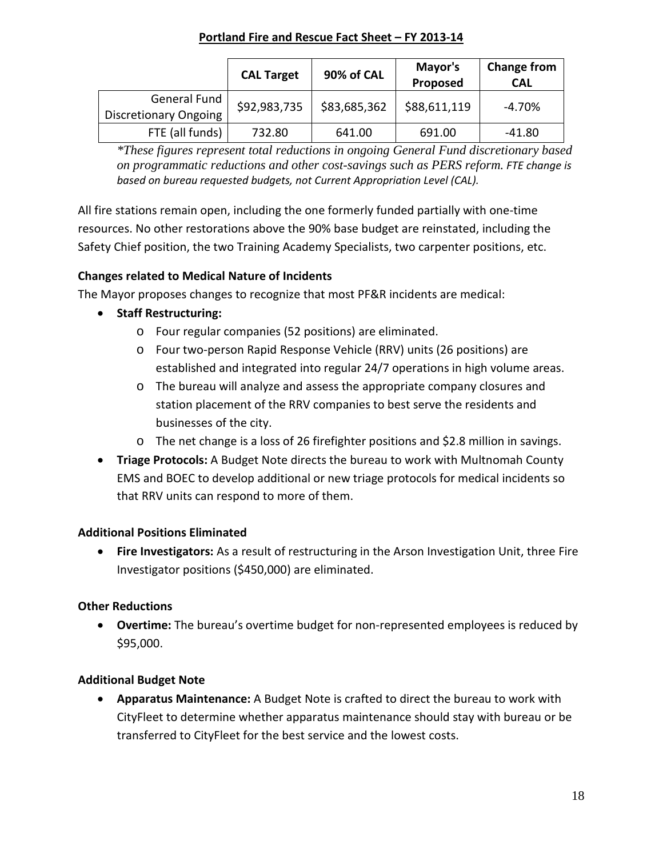## **Portland Fire and Rescue Fact Sheet – FY 2013-14**

|                                              | <b>CAL Target</b> | 90% of CAL   | Mayor's<br>Proposed | <b>Change from</b><br><b>CAL</b> |
|----------------------------------------------|-------------------|--------------|---------------------|----------------------------------|
| General Fund<br><b>Discretionary Ongoing</b> | \$92,983,735      | \$83,685,362 | \$88,611,119        | -4.70%                           |
| FTE (all funds)                              | 732.80            | 641.00       | 691.00              | -41.80                           |

*\*These figures represent total reductions in ongoing General Fund discretionary based on programmatic reductions and other cost-savings such as PERS reform. FTE change is based on bureau requested budgets, not Current Appropriation Level (CAL).*

All fire stations remain open, including the one formerly funded partially with one-time resources. No other restorations above the 90% base budget are reinstated, including the Safety Chief position, the two Training Academy Specialists, two carpenter positions, etc.

# **Changes related to Medical Nature of Incidents**

The Mayor proposes changes to recognize that most PF&R incidents are medical:

- **Staff Restructuring:**
	- o Four regular companies (52 positions) are eliminated.
	- o Four two-person Rapid Response Vehicle (RRV) units (26 positions) are established and integrated into regular 24/7 operations in high volume areas.
	- o The bureau will analyze and assess the appropriate company closures and station placement of the RRV companies to best serve the residents and businesses of the city.
	- o The net change is a loss of 26 firefighter positions and \$2.8 million in savings.
- **Triage Protocols:** A Budget Note directs the bureau to work with Multnomah County EMS and BOEC to develop additional or new triage protocols for medical incidents so that RRV units can respond to more of them.

## **Additional Positions Eliminated**

• **Fire Investigators:** As a result of restructuring in the Arson Investigation Unit, three Fire Investigator positions (\$450,000) are eliminated.

## **Other Reductions**

• **Overtime:** The bureau's overtime budget for non-represented employees is reduced by \$95,000.

## **Additional Budget Note**

• **Apparatus Maintenance:** A Budget Note is crafted to direct the bureau to work with CityFleet to determine whether apparatus maintenance should stay with bureau or be transferred to CityFleet for the best service and the lowest costs.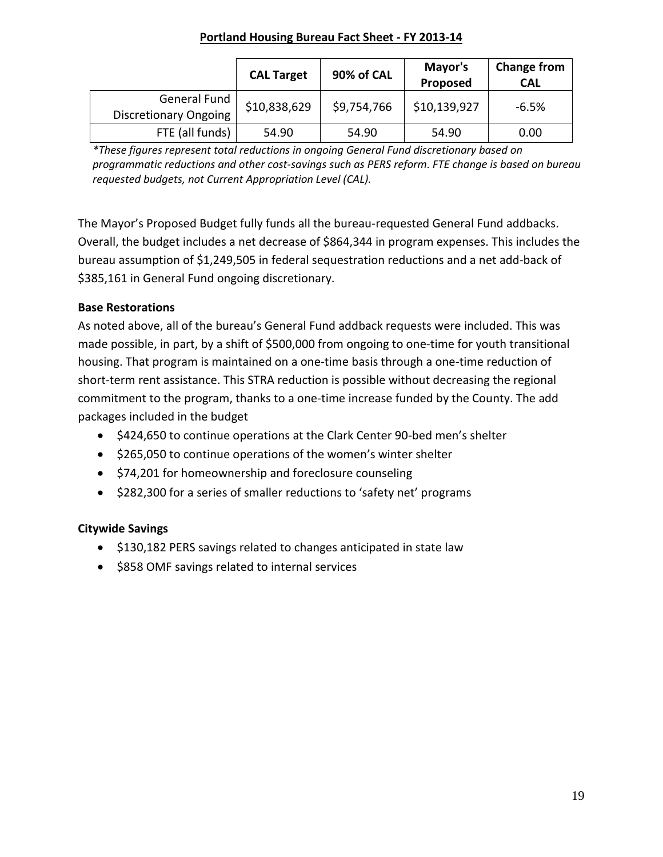#### **Portland Housing Bureau Fact Sheet - FY 2013-14**

|                                              | <b>CAL Target</b> | 90% of CAL  | Mayor's<br>Proposed | <b>Change from</b><br><b>CAL</b> |
|----------------------------------------------|-------------------|-------------|---------------------|----------------------------------|
| General Fund<br><b>Discretionary Ongoing</b> | \$10,838,629      | \$9,754,766 | \$10,139,927        | $-6.5%$                          |
| FTE (all funds)                              | 54.90             | 54.90       | 54.90               | 0.00                             |

*\*These figures represent total reductions in ongoing General Fund discretionary based on programmatic reductions and other cost-savings such as PERS reform. FTE change is based on bureau requested budgets, not Current Appropriation Level (CAL).*

The Mayor's Proposed Budget fully funds all the bureau-requested General Fund addbacks. Overall, the budget includes a net decrease of \$864,344 in program expenses. This includes the bureau assumption of \$1,249,505 in federal sequestration reductions and a net add-back of \$385,161 in General Fund ongoing discretionary.

## **Base Restorations**

As noted above, all of the bureau's General Fund addback requests were included. This was made possible, in part, by a shift of \$500,000 from ongoing to one-time for youth transitional housing. That program is maintained on a one-time basis through a one-time reduction of short-term rent assistance. This STRA reduction is possible without decreasing the regional commitment to the program, thanks to a one-time increase funded by the County. The add packages included in the budget

- \$424,650 to continue operations at the Clark Center 90-bed men's shelter
- \$265,050 to continue operations of the women's winter shelter
- \$74,201 for homeownership and foreclosure counseling
- \$282,300 for a series of smaller reductions to 'safety net' programs

## **Citywide Savings**

- \$130,182 PERS savings related to changes anticipated in state law
- \$858 OMF savings related to internal services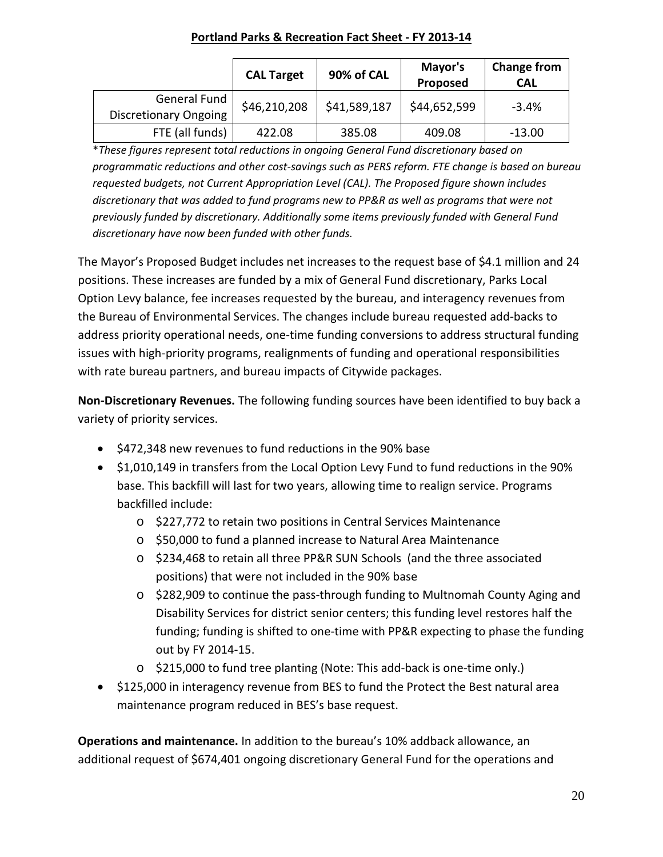#### **Portland Parks & Recreation Fact Sheet - FY 2013-14**

|                                              | <b>CAL Target</b> | 90% of CAL   | Mayor's<br>Proposed | <b>Change from</b><br><b>CAL</b> |
|----------------------------------------------|-------------------|--------------|---------------------|----------------------------------|
| General Fund<br><b>Discretionary Ongoing</b> | \$46,210,208      | \$41,589,187 | \$44,652,599        | $-3.4%$                          |
| FTE (all funds)                              | 422.08            | 385.08       | 409.08              | $-13.00$                         |

\**These figures represent total reductions in ongoing General Fund discretionary based on programmatic reductions and other cost-savings such as PERS reform. FTE change is based on bureau requested budgets, not Current Appropriation Level (CAL). The Proposed figure shown includes discretionary that was added to fund programs new to PP&R as well as programs that were not previously funded by discretionary. Additionally some items previously funded with General Fund discretionary have now been funded with other funds.*

The Mayor's Proposed Budget includes net increases to the request base of \$4.1 million and 24 positions. These increases are funded by a mix of General Fund discretionary, Parks Local Option Levy balance, fee increases requested by the bureau, and interagency revenues from the Bureau of Environmental Services. The changes include bureau requested add-backs to address priority operational needs, one-time funding conversions to address structural funding issues with high-priority programs, realignments of funding and operational responsibilities with rate bureau partners, and bureau impacts of Citywide packages.

**Non-Discretionary Revenues.** The following funding sources have been identified to buy back a variety of priority services.

- \$472,348 new revenues to fund reductions in the 90% base
- \$1,010,149 in transfers from the Local Option Levy Fund to fund reductions in the 90% base. This backfill will last for two years, allowing time to realign service. Programs backfilled include:
	- o \$227,772 to retain two positions in Central Services Maintenance
	- o \$50,000 to fund a planned increase to Natural Area Maintenance
	- o \$234,468 to retain all three PP&R SUN Schools (and the three associated positions) that were not included in the 90% base
	- o \$282,909 to continue the pass-through funding to Multnomah County Aging and Disability Services for district senior centers; this funding level restores half the funding; funding is shifted to one-time with PP&R expecting to phase the funding out by FY 2014-15.
	- o \$215,000 to fund tree planting (Note: This add-back is one-time only.)
- \$125,000 in interagency revenue from BES to fund the Protect the Best natural area maintenance program reduced in BES's base request.

**Operations and maintenance.** In addition to the bureau's 10% addback allowance, an additional request of \$674,401 ongoing discretionary General Fund for the operations and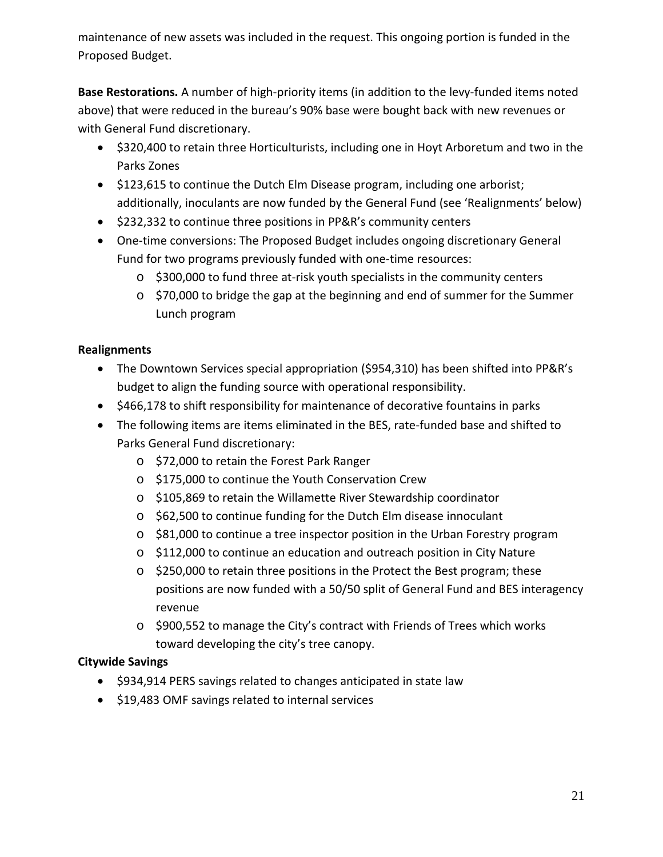maintenance of new assets was included in the request. This ongoing portion is funded in the Proposed Budget.

**Base Restorations.** A number of high-priority items (in addition to the levy-funded items noted above) that were reduced in the bureau's 90% base were bought back with new revenues or with General Fund discretionary.

- \$320,400 to retain three Horticulturists, including one in Hoyt Arboretum and two in the Parks Zones
- \$123,615 to continue the Dutch Elm Disease program, including one arborist; additionally, inoculants are now funded by the General Fund (see 'Realignments' below)
- \$232,332 to continue three positions in PP&R's community centers
- One-time conversions: The Proposed Budget includes ongoing discretionary General Fund for two programs previously funded with one-time resources:
	- o \$300,000 to fund three at-risk youth specialists in the community centers
	- o \$70,000 to bridge the gap at the beginning and end of summer for the Summer Lunch program

# **Realignments**

- The Downtown Services special appropriation (\$954,310) has been shifted into PP&R's budget to align the funding source with operational responsibility.
- \$466,178 to shift responsibility for maintenance of decorative fountains in parks
- The following items are items eliminated in the BES, rate-funded base and shifted to Parks General Fund discretionary:
	- o \$72,000 to retain the Forest Park Ranger
	- o \$175,000 to continue the Youth Conservation Crew
	- o \$105,869 to retain the Willamette River Stewardship coordinator
	- o \$62,500 to continue funding for the Dutch Elm disease innoculant
	- o \$81,000 to continue a tree inspector position in the Urban Forestry program
	- o \$112,000 to continue an education and outreach position in City Nature
	- o \$250,000 to retain three positions in the Protect the Best program; these positions are now funded with a 50/50 split of General Fund and BES interagency revenue
	- o \$900,552 to manage the City's contract with Friends of Trees which works toward developing the city's tree canopy.

## **Citywide Savings**

- \$934,914 PERS savings related to changes anticipated in state law
- \$19,483 OMF savings related to internal services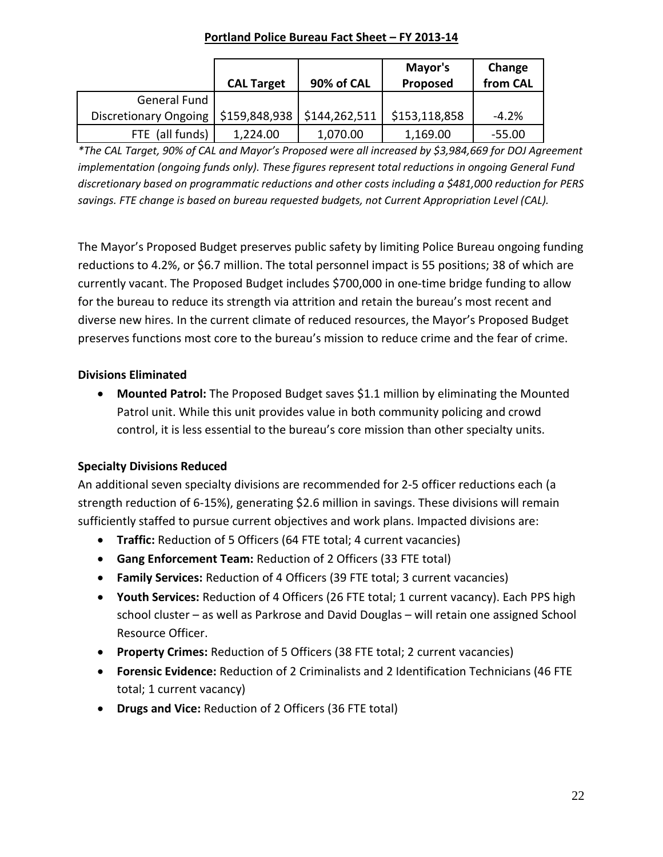#### **Portland Police Bureau Fact Sheet – FY 2013-14**

|                              | <b>CAL Target</b> | 90% of CAL    | Mayor's<br>Proposed | Change<br>from CAL |
|------------------------------|-------------------|---------------|---------------------|--------------------|
| <b>General Fund</b>          |                   |               |                     |                    |
| <b>Discretionary Ongoing</b> | \$159,848,938     | \$144,262,511 | \$153,118,858       | $-4.2%$            |
| FTE (all funds)              | 1,224.00          | 1,070.00      | 1,169.00            | $-55.00$           |

*\*The CAL Target, 90% of CAL and Mayor's Proposed were all increased by \$3,984,669 for DOJ Agreement implementation (ongoing funds only). These figures represent total reductions in ongoing General Fund discretionary based on programmatic reductions and other costs including a \$481,000 reduction for PERS savings. FTE change is based on bureau requested budgets, not Current Appropriation Level (CAL).*

The Mayor's Proposed Budget preserves public safety by limiting Police Bureau ongoing funding reductions to 4.2%, or \$6.7 million. The total personnel impact is 55 positions; 38 of which are currently vacant. The Proposed Budget includes \$700,000 in one-time bridge funding to allow for the bureau to reduce its strength via attrition and retain the bureau's most recent and diverse new hires. In the current climate of reduced resources, the Mayor's Proposed Budget preserves functions most core to the bureau's mission to reduce crime and the fear of crime.

# **Divisions Eliminated**

• **Mounted Patrol:** The Proposed Budget saves \$1.1 million by eliminating the Mounted Patrol unit. While this unit provides value in both community policing and crowd control, it is less essential to the bureau's core mission than other specialty units.

# **Specialty Divisions Reduced**

An additional seven specialty divisions are recommended for 2-5 officer reductions each (a strength reduction of 6-15%), generating \$2.6 million in savings. These divisions will remain sufficiently staffed to pursue current objectives and work plans. Impacted divisions are:

- **Traffic:** Reduction of 5 Officers (64 FTE total; 4 current vacancies)
- **Gang Enforcement Team:** Reduction of 2 Officers (33 FTE total)
- **Family Services:** Reduction of 4 Officers (39 FTE total; 3 current vacancies)
- **Youth Services:** Reduction of 4 Officers (26 FTE total; 1 current vacancy). Each PPS high school cluster – as well as Parkrose and David Douglas – will retain one assigned School Resource Officer.
- **Property Crimes:** Reduction of 5 Officers (38 FTE total; 2 current vacancies)
- **Forensic Evidence:** Reduction of 2 Criminalists and 2 Identification Technicians (46 FTE total; 1 current vacancy)
- **Drugs and Vice:** Reduction of 2 Officers (36 FTE total)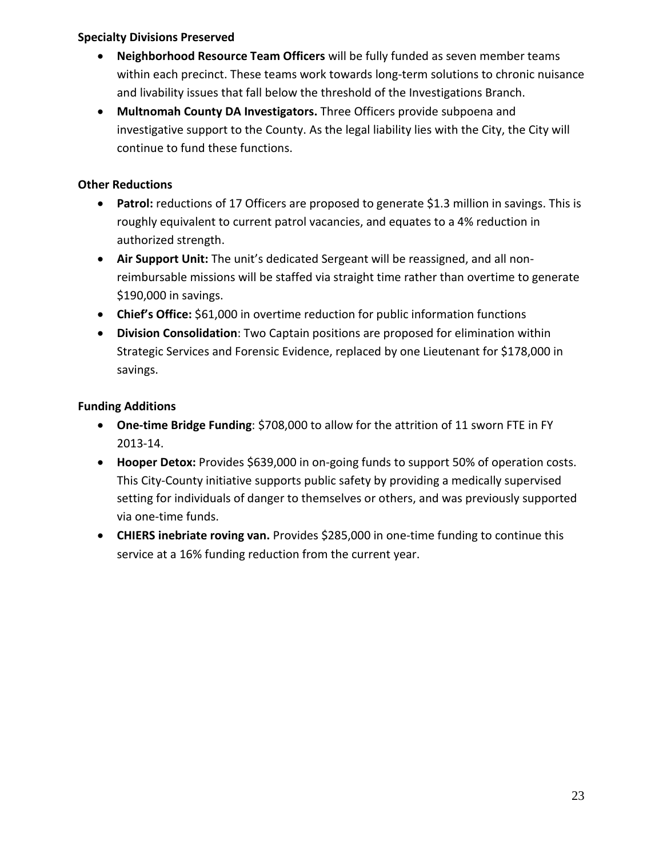#### **Specialty Divisions Preserved**

- **Neighborhood Resource Team Officers** will be fully funded as seven member teams within each precinct. These teams work towards long-term solutions to chronic nuisance and livability issues that fall below the threshold of the Investigations Branch.
- **Multnomah County DA Investigators.** Three Officers provide subpoena and investigative support to the County. As the legal liability lies with the City, the City will continue to fund these functions.

## **Other Reductions**

- **Patrol:** reductions of 17 Officers are proposed to generate \$1.3 million in savings. This is roughly equivalent to current patrol vacancies, and equates to a 4% reduction in authorized strength.
- **Air Support Unit:** The unit's dedicated Sergeant will be reassigned, and all nonreimbursable missions will be staffed via straight time rather than overtime to generate \$190,000 in savings.
- **Chief's Office:** \$61,000 in overtime reduction for public information functions
- **Division Consolidation**: Two Captain positions are proposed for elimination within Strategic Services and Forensic Evidence, replaced by one Lieutenant for \$178,000 in savings.

# **Funding Additions**

- **One-time Bridge Funding**: \$708,000 to allow for the attrition of 11 sworn FTE in FY 2013-14.
- **Hooper Detox:** Provides \$639,000 in on-going funds to support 50% of operation costs. This City-County initiative supports public safety by providing a medically supervised setting for individuals of danger to themselves or others, and was previously supported via one-time funds.
- **CHIERS inebriate roving van.** Provides \$285,000 in one-time funding to continue this service at a 16% funding reduction from the current year.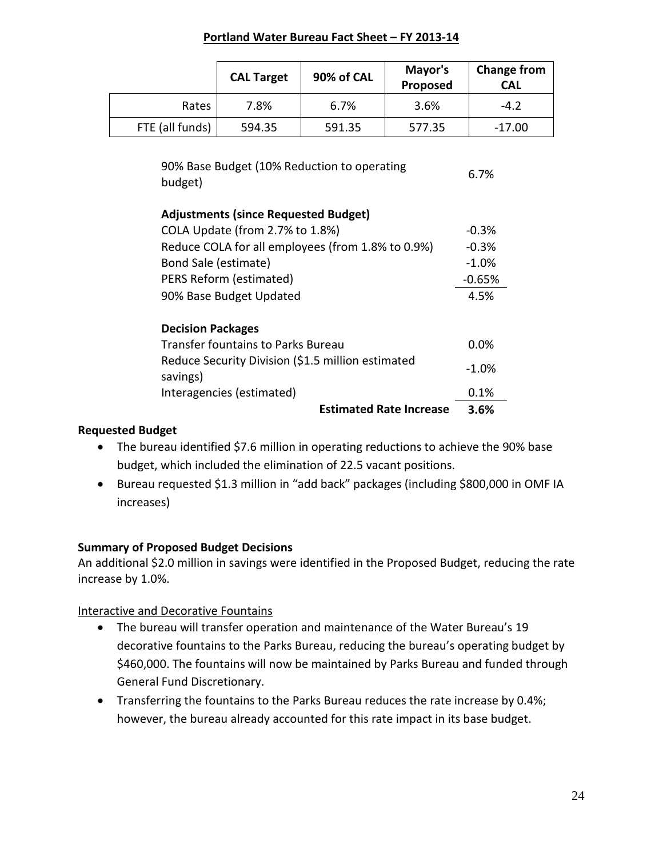#### **Portland Water Bureau Fact Sheet – FY 2013-14**

|                                                                                                                                                                                                                                                                                                                                          | <b>CAL Target</b>                                 | 90% of CAL                     | Mayor's<br>Proposed | <b>Change from</b><br><b>CAL</b> |  |
|------------------------------------------------------------------------------------------------------------------------------------------------------------------------------------------------------------------------------------------------------------------------------------------------------------------------------------------|---------------------------------------------------|--------------------------------|---------------------|----------------------------------|--|
| Rates                                                                                                                                                                                                                                                                                                                                    | 7.8%                                              | 6.7%                           | 3.6%                | $-4.2$                           |  |
| FTE (all funds)                                                                                                                                                                                                                                                                                                                          | 594.35                                            | 591.35                         | 577.35              | $-17.00$                         |  |
| 90% Base Budget (10% Reduction to operating<br>6.7%<br>budget)<br><b>Adjustments (since Requested Budget)</b><br>COLA Update (from 2.7% to 1.8%)<br>$-0.3%$<br>Reduce COLA for all employees (from 1.8% to 0.9%)<br>$-0.3%$<br>Bond Sale (estimate)<br>$-1.0%$<br>PERS Reform (estimated)<br>$-0.65%$<br>90% Base Budget Updated<br>4.5% |                                                   |                                |                     |                                  |  |
| <b>Decision Packages</b>                                                                                                                                                                                                                                                                                                                 |                                                   |                                |                     |                                  |  |
|                                                                                                                                                                                                                                                                                                                                          | <b>Transfer fountains to Parks Bureau</b>         |                                |                     | 0.0%                             |  |
| savings)                                                                                                                                                                                                                                                                                                                                 | Reduce Security Division (\$1.5 million estimated |                                |                     | $-1.0\%$                         |  |
|                                                                                                                                                                                                                                                                                                                                          | Interagencies (estimated)                         | 0.1%                           |                     |                                  |  |
|                                                                                                                                                                                                                                                                                                                                          |                                                   | <b>Estimated Rate Increase</b> |                     | 3.6%                             |  |

#### **Requested Budget**

- The bureau identified \$7.6 million in operating reductions to achieve the 90% base budget, which included the elimination of 22.5 vacant positions.
- Bureau requested \$1.3 million in "add back" packages (including \$800,000 in OMF IA increases)

#### **Summary of Proposed Budget Decisions**

An additional \$2.0 million in savings were identified in the Proposed Budget, reducing the rate increase by 1.0%.

#### Interactive and Decorative Fountains

- The bureau will transfer operation and maintenance of the Water Bureau's 19 decorative fountains to the Parks Bureau, reducing the bureau's operating budget by \$460,000. The fountains will now be maintained by Parks Bureau and funded through General Fund Discretionary.
- Transferring the fountains to the Parks Bureau reduces the rate increase by 0.4%; however, the bureau already accounted for this rate impact in its base budget.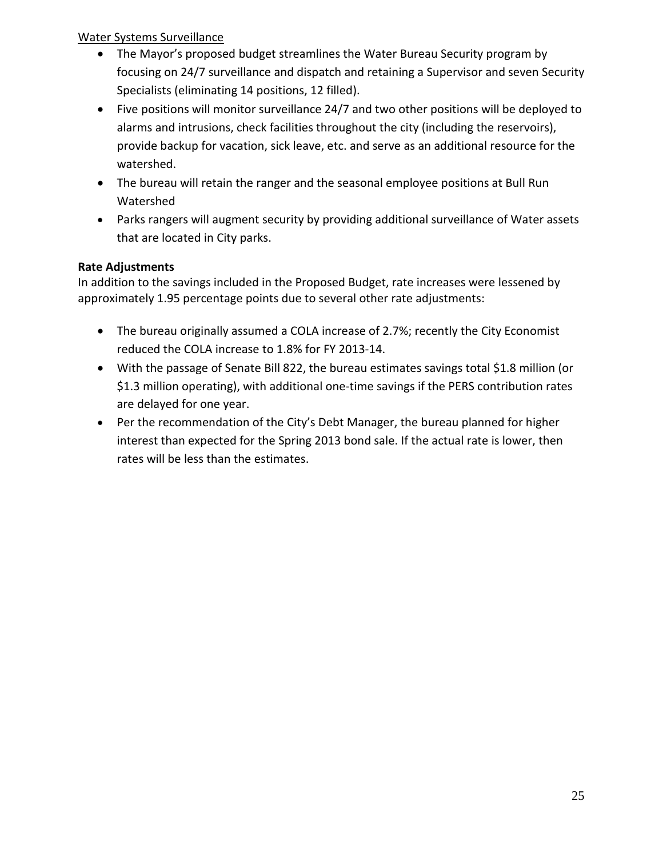## Water Systems Surveillance

- The Mayor's proposed budget streamlines the Water Bureau Security program by focusing on 24/7 surveillance and dispatch and retaining a Supervisor and seven Security Specialists (eliminating 14 positions, 12 filled).
- Five positions will monitor surveillance 24/7 and two other positions will be deployed to alarms and intrusions, check facilities throughout the city (including the reservoirs), provide backup for vacation, sick leave, etc. and serve as an additional resource for the watershed.
- The bureau will retain the ranger and the seasonal employee positions at Bull Run Watershed
- Parks rangers will augment security by providing additional surveillance of Water assets that are located in City parks.

# **Rate Adjustments**

In addition to the savings included in the Proposed Budget, rate increases were lessened by approximately 1.95 percentage points due to several other rate adjustments:

- The bureau originally assumed a COLA increase of 2.7%; recently the City Economist reduced the COLA increase to 1.8% for FY 2013-14.
- With the passage of Senate Bill 822, the bureau estimates savings total \$1.8 million (or \$1.3 million operating), with additional one-time savings if the PERS contribution rates are delayed for one year.
- Per the recommendation of the City's Debt Manager, the bureau planned for higher interest than expected for the Spring 2013 bond sale. If the actual rate is lower, then rates will be less than the estimates.